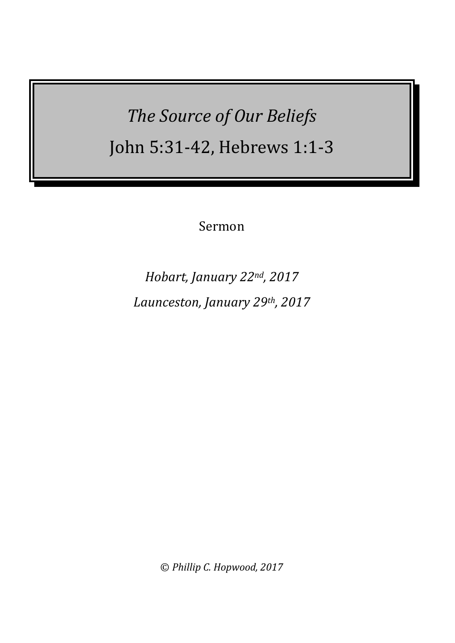*The Source of Our Beliefs* John 5:31-42, Hebrews 1:1-3

Sermon

*Hobart, January 22nd, 2017 Launceston, January 29th, 2017*

© *Phillip C. Hopwood, 2017*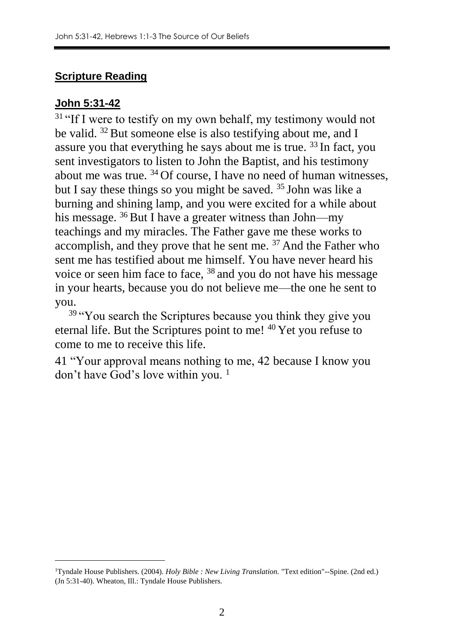## **Scripture Reading**

### **John 5:31-42**

1

<sup>31</sup> "If I were to testify on my own behalf, my testimony would not be valid. <sup>32</sup> But someone else is also testifying about me, and I assure you that everything he says about me is true.  $33 \text{ In fact, you}$ sent investigators to listen to John the Baptist, and his testimony about me was true. <sup>34</sup> Of course, I have no need of human witnesses, but I say these things so you might be saved. <sup>35</sup> John was like a burning and shining lamp, and you were excited for a while about his message.  $36$  But I have a greater witness than John—my teachings and my miracles. The Father gave me these works to accomplish, and they prove that he sent me. <sup>37</sup> And the Father who sent me has testified about me himself. You have never heard his voice or seen him face to face, <sup>38</sup> and you do not have his message in your hearts, because you do not believe me—the one he sent to you.

<sup>39</sup> "You search the Scriptures because you think they give you eternal life. But the Scriptures point to me! <sup>40</sup> Yet you refuse to come to me to receive this life.

41 "Your approval means nothing to me, 42 because I know you don't have God's love within you. <sup>1</sup>

<sup>1</sup>Tyndale House Publishers. (2004). *Holy Bible : New Living Translation.* "Text edition"--Spine. (2nd ed.) (Jn 5:31-40). Wheaton, Ill.: Tyndale House Publishers.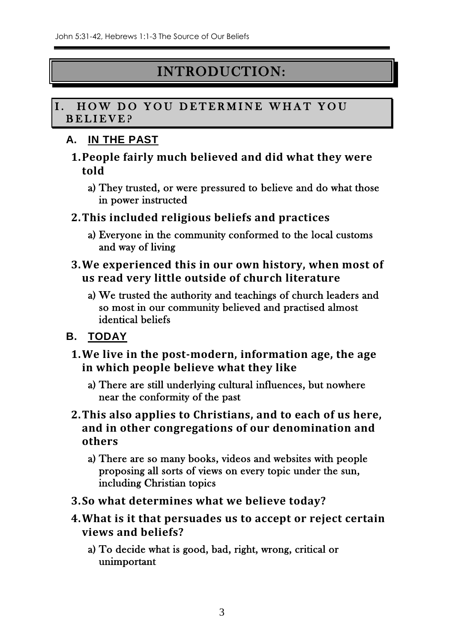## INTRODUCTION:

### I. HOW DO YOU DETERMINE WHAT YOU B E L I E V E ?

## **A. IN THE PAST**

- **1.People fairly much believed and did what they were told**
	- a) They trusted, or were pressured to believe and do what those in power instructed
- **2.This included religious beliefs and practices**
	- a) Everyone in the community conformed to the local customs and way of living
- **3.We experienced this in our own history, when most of us read very little outside of church literature**
	- a) We trusted the authority and teachings of church leaders and so most in our community believed and practised almost identical beliefs
- **B. TODAY**
	- **1.We live in the post-modern, information age, the age in which people believe what they like**
		- a) There are still underlying cultural influences, but nowhere near the conformity of the past
	- **2.This also applies to Christians, and to each of us here, and in other congregations of our denomination and others**
		- a) There are so many books, videos and websites with people proposing all sorts of views on every topic under the sun, including Christian topics
	- **3.So what determines what we believe today?**
	- **4.What is it that persuades us to accept or reject certain views and beliefs?**
		- a) To decide what is good, bad, right, wrong, critical or unimportant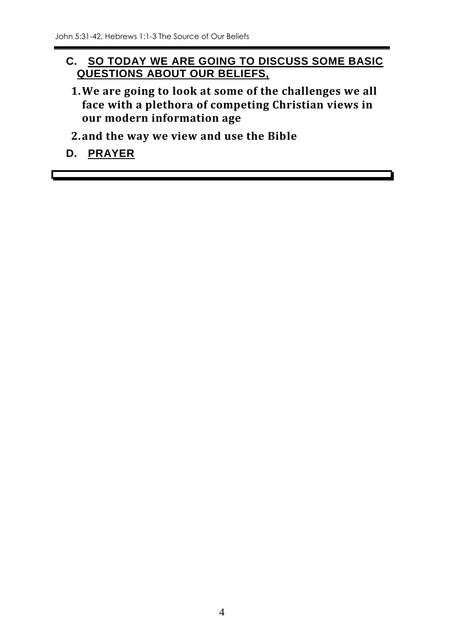## **C. SO TODAY WE ARE GOING TO DISCUSS SOME BASIC QUESTIONS ABOUT OUR BELIEFS,**

- **1.We are going to look at some of the challenges we all face with a plethora of competing Christian views in our modern information age**
- **2.and the way we view and use the Bible**
- **D. PRAYER**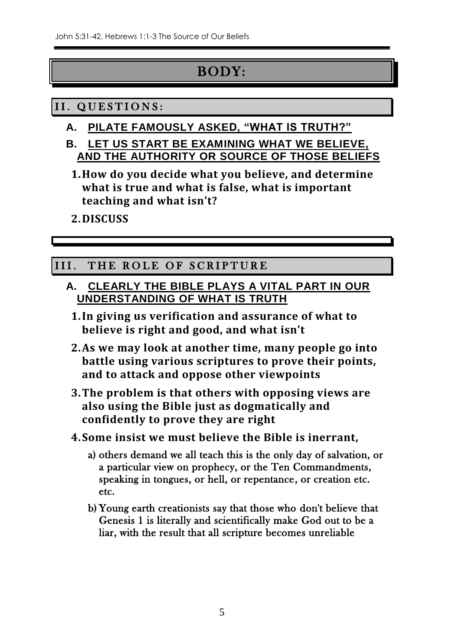## BODY:

## II. QUESTIONS:

- **A. PILATE FAMOUSLY ASKED, "WHAT IS TRUTH?"**
- **B. LET US START BE EXAMINING WHAT WE BELIEVE, AND THE AUTHORITY OR SOURCE OF THOSE BELIEFS**
	- **1.How do you decide what you believe, and determine what is true and what is false, what is important teaching and what isn't?**
	- **2.DISCUSS**

## III. THE ROLE OF SCRIPTURE

- **A. CLEARLY THE BIBLE PLAYS A VITAL PART IN OUR UNDERSTANDING OF WHAT IS TRUTH**
	- **1.In giving us verification and assurance of what to believe is right and good, and what isn't**
	- **2.As we may look at another time, many people go into battle using various scriptures to prove their points, and to attack and oppose other viewpoints**
	- **3.The problem is that others with opposing views are also using the Bible just as dogmatically and confidently to prove they are right**
	- **4.Some insist we must believe the Bible is inerrant,** 
		- a) others demand we all teach this is the only day of salvation, or a particular view on prophecy, or the Ten Commandments, speaking in tongues, or hell, or repentance, or creation etc. etc.
		- b) Young earth creationists say that those who don't believe that Genesis 1 is literally and scientifically make God out to be a liar, with the result that all scripture becomes unreliable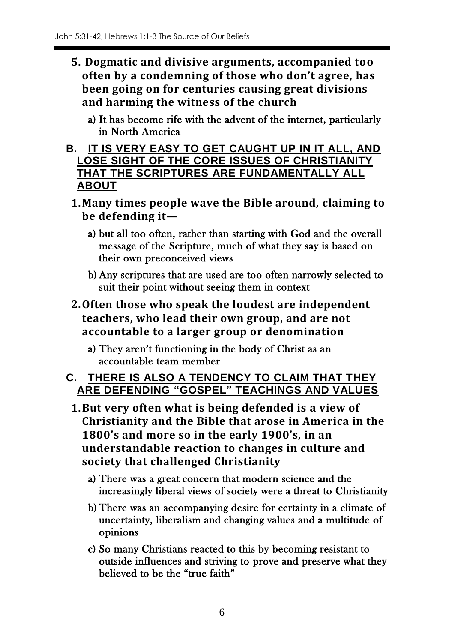- **5. Dogmatic and divisive arguments, accompanied too often by a condemning of those who don't agree, has been going on for centuries causing great divisions and harming the witness of the church**
	- a) It has become rife with the advent of the internet, particularly in North America
- **B. IT IS VERY EASY TO GET CAUGHT UP IN IT ALL, AND LOSE SIGHT OF THE CORE ISSUES OF CHRISTIANITY THAT THE SCRIPTURES ARE FUNDAMENTALLY ALL ABOUT**
	- **1.Many times people wave the Bible around, claiming to be defending it**
		- a) but all too often, rather than starting with God and the overall message of the Scripture, much of what they say is based on their own preconceived views
		- b) Any scriptures that are used are too often narrowly selected to suit their point without seeing them in context
	- **2.Often those who speak the loudest are independent teachers, who lead their own group, and are not accountable to a larger group or denomination**
		- a) They aren't functioning in the body of Christ as an accountable team member

## **C. THERE IS ALSO A TENDENCY TO CLAIM THAT THEY ARE DEFENDING "GOSPEL" TEACHINGS AND VALUES**

- **1.But very often what is being defended is a view of Christianity and the Bible that arose in America in the 1800's and more so in the early 1900's, in an understandable reaction to changes in culture and society that challenged Christianity**
	- a) There was a great concern that modern science and the increasingly liberal views of society were a threat to Christianity
	- b) There was an accompanying desire for certainty in a climate of uncertainty, liberalism and changing values and a multitude of opinions
	- c) So many Christians reacted to this by becoming resistant to outside influences and striving to prove and preserve what they believed to be the "true faith"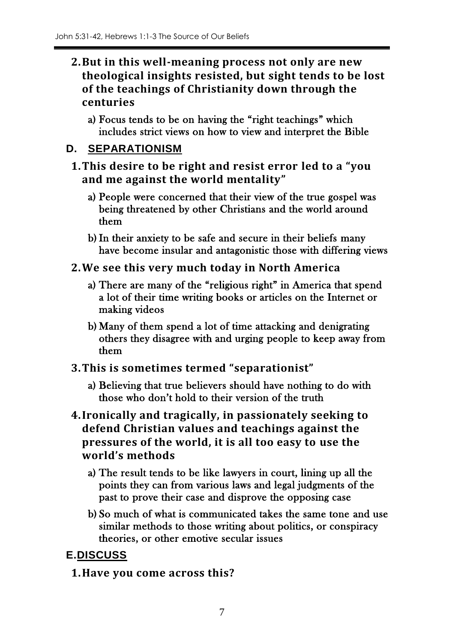- **2.But in this well-meaning process not only are new theological insights resisted, but sight tends to be lost of the teachings of Christianity down through the centuries**
	- a) Focus tends to be on having the "right teachings" which includes strict views on how to view and interpret the Bible

### **D. SEPARATIONISM**

- **1.This desire to be right and resist error led to a "you and me against the world mentality"**
	- a) People were concerned that their view of the true gospel was being threatened by other Christians and the world around them
	- b) In their anxiety to be safe and secure in their beliefs many have become insular and antagonistic those with differing views
- **2.We see this very much today in North America**
	- a) There are many of the "religious right" in America that spend a lot of their time writing books or articles on the Internet or making videos
	- b) Many of them spend a lot of time attacking and denigrating others they disagree with and urging people to keep away from them
- **3.This is sometimes termed "separationist"**
	- a) Believing that true believers should have nothing to do with those who don't hold to their version of the truth
- **4.Ironically and tragically, in passionately seeking to defend Christian values and teachings against the pressures of the world, it is all too easy to use the world's methods**
	- a) The result tends to be like lawyers in court, lining up all the points they can from various laws and legal judgments of the past to prove their case and disprove the opposing case
	- b) So much of what is communicated takes the same tone and use similar methods to those writing about politics, or conspiracy theories, or other emotive secular issues

## **E.DISCUSS**

**1.Have you come across this?**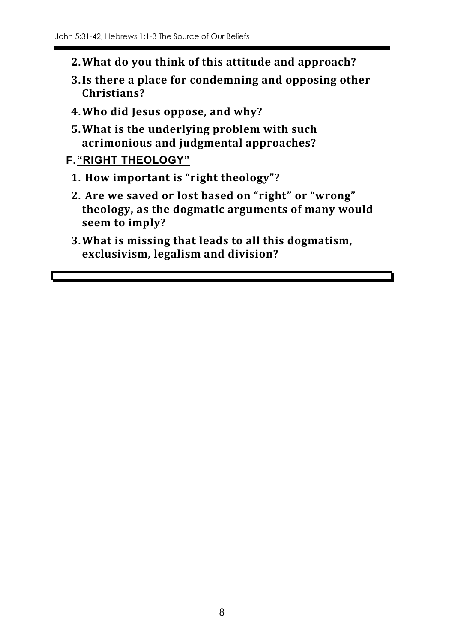- **2.What do you think of this attitude and approach?**
- **3.Is there a place for condemning and opposing other Christians?**
- **4.Who did Jesus oppose, and why?**
- **5.What is the underlying problem with such acrimonious and judgmental approaches?**

```
F."RIGHT THEOLOGY"
```
- **1. How important is "right theology"?**
- **2. Are we saved or lost based on "right" or "wrong" theology, as the dogmatic arguments of many would seem to imply?**
- **3.What is missing that leads to all this dogmatism, exclusivism, legalism and division?**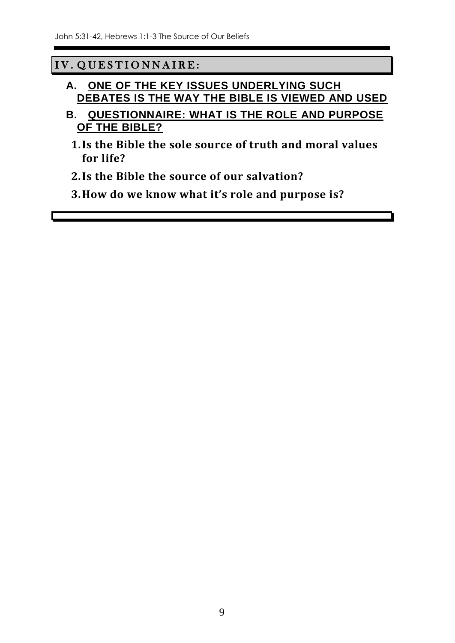## IV. QUESTIONNAIRE:

- **A. ONE OF THE KEY ISSUES UNDERLYING SUCH DEBATES IS THE WAY THE BIBLE IS VIEWED AND USED**
- **B. QUESTIONNAIRE: WHAT IS THE ROLE AND PURPOSE OF THE BIBLE?**
	- **1.Is the Bible the sole source of truth and moral values for life?**
	- **2.Is the Bible the source of our salvation?**
	- **3.How do we know what it's role and purpose is?**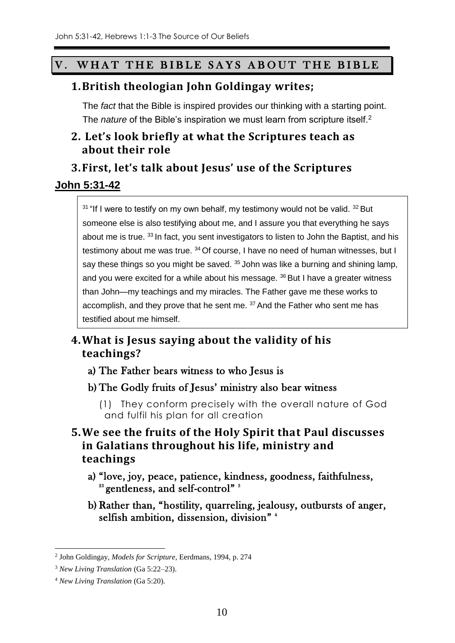## V. WHAT THE BIBLE SAYS ABOUT THE BIBLE

#### **1.British theologian John Goldingay writes;**

The *fact* that the Bible is inspired provides our thinking with a starting point. The *nature* of the Bible's inspiration we must learn from scripture itself.<sup>2</sup>

## **2. Let's look briefly at what the Scriptures teach as about their role**

### **3.First, let's talk about Jesus' use of the Scriptures**

#### **John 5:31-42**

 $31$  "If I were to testify on my own behalf, my testimony would not be valid.  $32$  But someone else is also testifying about me, and I assure you that everything he says about me is true. 33 In fact, you sent investigators to listen to John the Baptist, and his testimony about me was true. <sup>34</sup> Of course, I have no need of human witnesses, but I say these things so you might be saved.  $35$  John was like a burning and shining lamp, and you were excited for a while about his message. <sup>36</sup> But I have a greater witness than John—my teachings and my miracles. The Father gave me these works to accomplish, and they prove that he sent me. <sup>37</sup> And the Father who sent me has testified about me himself.

## **4.What is Jesus saying about the validity of his teachings?**

- a) The Father bears witness to who Jesus is
- b) The Godly fruits of Jesus' ministry also bear witness
	- (1) They conform precisely with the overall nature of God and fulfil his plan for all creation
- **5.We see the fruits of the Holy Spirit that Paul discusses in Galatians throughout his life, ministry and teachings**
	- a) "love, joy, peace, patience, kindness, goodness, faithfulness, <sup>23</sup> gentleness, and self-control"<sup>3</sup>
	- b) Rather than, "hostility, quarreling, jealousy, outbursts of anger, selfish ambition, dissension, division" <sup>4</sup>

 $\overline{a}$ 

<sup>2</sup> John Goldingay, *Models for Scripture*, Eerdmans, 1994, p. 274

<sup>3</sup> *New Living Translation* (Ga 5:22–23).

<sup>4</sup> *New Living Translation* (Ga 5:20).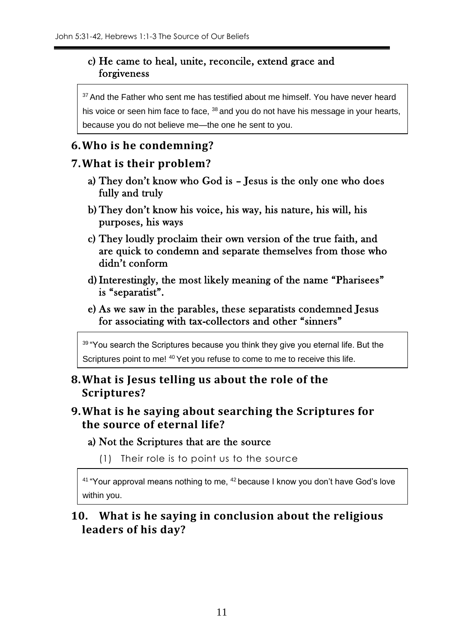#### c) He came to heal, unite, reconcile, extend grace and forgiveness

<sup>37</sup> And the Father who sent me has testified about me himself. You have never heard his voice or seen him face to face, <sup>38</sup> and you do not have his message in your hearts, because you do not believe me—the one he sent to you.

## **6.Who is he condemning?**

#### **7.What is their problem?**

- a) They don't know who God is Jesus is the only one who does fully and truly
- b) They don't know his voice, his way, his nature, his will, his purposes, his ways
- c) They loudly proclaim their own version of the true faith, and are quick to condemn and separate themselves from those who didn't conform
- d)Interestingly, the most likely meaning of the name "Pharisees" is "separatist".
- e) As we saw in the parables, these separatists condemned Jesus for associating with tax-collectors and other "sinners"

39 "You search the Scriptures because you think they give you eternal life. But the Scriptures point to me! <sup>40</sup> Yet you refuse to come to me to receive this life.

### **8.What is Jesus telling us about the role of the Scriptures?**

### **9.What is he saying about searching the Scriptures for the source of eternal life?**

#### a) Not the Scriptures that are the source

(1) Their role is to point us to the source

 $41$  "Your approval means nothing to me,  $42$  because I know you don't have God's love within you.

## **10. What is he saying in conclusion about the religious leaders of his day?**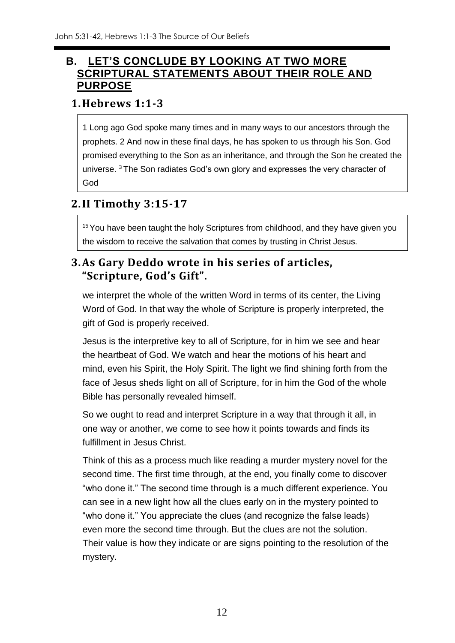## **B. LET'S CONCLUDE BY LOOKING AT TWO MORE SCRIPTURAL STATEMENTS ABOUT THEIR ROLE AND PURPOSE**

#### **1.Hebrews 1:1-3**

1 Long ago God spoke many times and in many ways to our ancestors through the prophets. 2 And now in these final days, he has spoken to us through his Son. God promised everything to the Son as an inheritance, and through the Son he created the universe. <sup>3</sup> The Son radiates God's own glory and expresses the very character of God

## **2.II Timothy 3:15-17**

<sup>15</sup> You have been taught the holy Scriptures from childhood, and they have given you the wisdom to receive the salvation that comes by trusting in Christ Jesus.

## **3.As Gary Deddo wrote in his series of articles, "Scripture, God's Gift".**

we interpret the whole of the written Word in terms of its center, the Living Word of God. In that way the whole of Scripture is properly interpreted, the gift of God is properly received.

Jesus is the interpretive key to all of Scripture, for in him we see and hear the heartbeat of God. We watch and hear the motions of his heart and mind, even his Spirit, the Holy Spirit. The light we find shining forth from the face of Jesus sheds light on all of Scripture, for in him the God of the whole Bible has personally revealed himself.

So we ought to read and interpret Scripture in a way that through it all, in one way or another, we come to see how it points towards and finds its fulfillment in Jesus Christ.

Think of this as a process much like reading a murder mystery novel for the second time. The first time through, at the end, you finally come to discover "who done it." The second time through is a much different experience. You can see in a new light how all the clues early on in the mystery pointed to "who done it." You appreciate the clues (and recognize the false leads) even more the second time through. But the clues are not the solution. Their value is how they indicate or are signs pointing to the resolution of the mystery.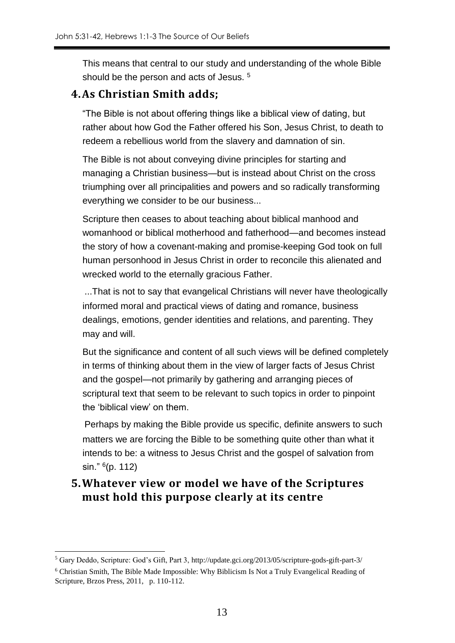This means that central to our study and understanding of the whole Bible should be the person and acts of Jesus. <sup>5</sup>

#### **4.As Christian Smith adds;**

"The Bible is not about offering things like a biblical view of dating, but rather about how God the Father offered his Son, Jesus Christ, to death to redeem a rebellious world from the slavery and damnation of sin.

The Bible is not about conveying divine principles for starting and managing a Christian business—but is instead about Christ on the cross triumphing over all principalities and powers and so radically transforming everything we consider to be our business...

Scripture then ceases to about teaching about biblical manhood and womanhood or biblical motherhood and fatherhood—and becomes instead the story of how a covenant-making and promise-keeping God took on full human personhood in Jesus Christ in order to reconcile this alienated and wrecked world to the eternally gracious Father.

...That is not to say that evangelical Christians will never have theologically informed moral and practical views of dating and romance, business dealings, emotions, gender identities and relations, and parenting. They may and will.

But the significance and content of all such views will be defined completely in terms of thinking about them in the view of larger facts of Jesus Christ and the gospel—not primarily by gathering and arranging pieces of scriptural text that seem to be relevant to such topics in order to pinpoint the 'biblical view' on them.

Perhaps by making the Bible provide us specific, definite answers to such matters we are forcing the Bible to be something quite other than what it intends to be: a witness to Jesus Christ and the gospel of salvation from sin." <sup>6</sup> (p. 112)

### **5.Whatever view or model we have of the Scriptures must hold this purpose clearly at its centre**

1

<sup>5</sup> Gary Deddo, Scripture: God's Gift, Part 3, http://update.gci.org/2013/05/scripture-gods-gift-part-3/

<sup>6</sup> Christian Smith, The Bible Made Impossible: Why Biblicism Is Not a Truly Evangelical Reading of Scripture, Brzos Press, 2011, p. 110-112.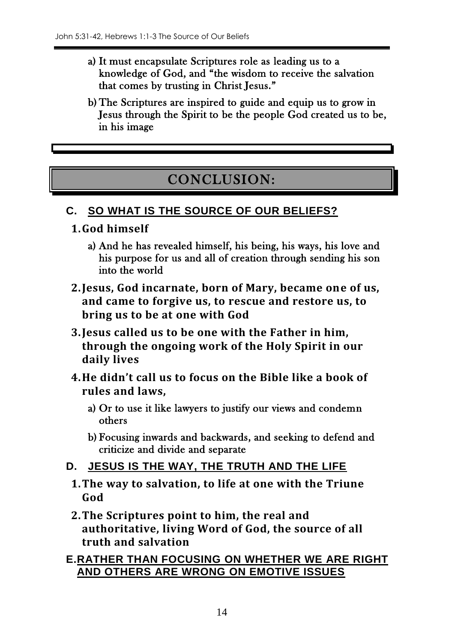- a) It must encapsulate Scriptures role as leading us to a knowledge of God, and "the wisdom to receive the salvation that comes by trusting in Christ Jesus."
- b) The Scriptures are inspired to guide and equip us to grow in Jesus through the Spirit to be the people God created us to be, in his image

# CONCLUSION:

## **C. SO WHAT IS THE SOURCE OF OUR BELIEFS?**

- **1.God himself**
	- a) And he has revealed himself, his being, his ways, his love and his purpose for us and all of creation through sending his son into the world
- **2.Jesus, God incarnate, born of Mary, became one of us, and came to forgive us, to rescue and restore us, to bring us to be at one with God**
- **3.Jesus called us to be one with the Father in him, through the ongoing work of the Holy Spirit in our daily lives**
- **4.He didn't call us to focus on the Bible like a book of rules and laws,** 
	- a) Or to use it like lawyers to justify our views and condemn others
	- b) Focusing inwards and backwards, and seeking to defend and criticize and divide and separate
- **D. JESUS IS THE WAY, THE TRUTH AND THE LIFE**
	- **1.The way to salvation, to life at one with the Triune God**
	- **2.The Scriptures point to him, the real and authoritative, living Word of God, the source of all truth and salvation**

#### **E.RATHER THAN FOCUSING ON WHETHER WE ARE RIGHT AND OTHERS ARE WRONG ON EMOTIVE ISSUES**